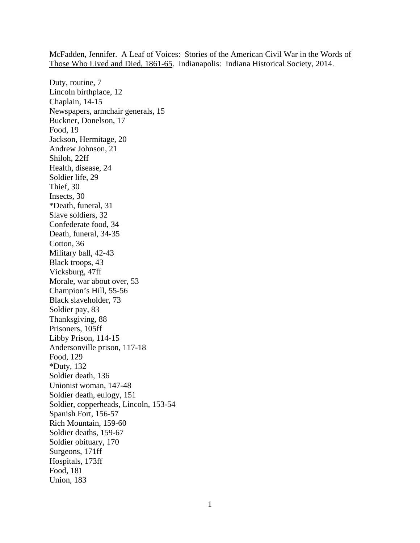McFadden, Jennifer. A Leaf of Voices: Stories of the American Civil War in the Words of Those Who Lived and Died, 1861-65. Indianapolis: Indiana Historical Society, 2014.

Duty, routine, 7 Lincoln birthplace, 12 Chaplain, 14-15 Newspapers, armchair generals, 15 Buckner, Donelson, 17 Food, 19 Jackson, Hermitage, 20 Andrew Johnson, 21 Shiloh, 22ff Health, disease, 24 Soldier life, 29 Thief, 30 Insects, 30 \*Death, funeral, 31 Slave soldiers, 32 Confederate food, 34 Death, funeral, 34-35 Cotton, 36 Military ball, 42-43 Black troops, 43 Vicksburg, 47ff Morale, war about over, 53 Champion's Hill, 55-56 Black slaveholder, 73 Soldier pay, 83 Thanksgiving, 88 Prisoners, 105ff Libby Prison, 114-15 Andersonville prison, 117-18 Food, 129 \*Duty, 132 Soldier death, 136 Unionist woman, 147-48 Soldier death, eulogy, 151 Soldier, copperheads, Lincoln, 153-54 Spanish Fort, 156-57 Rich Mountain, 159-60 Soldier deaths, 159-67 Soldier obituary, 170 Surgeons, 171ff Hospitals, 173ff Food, 181 Union, 183